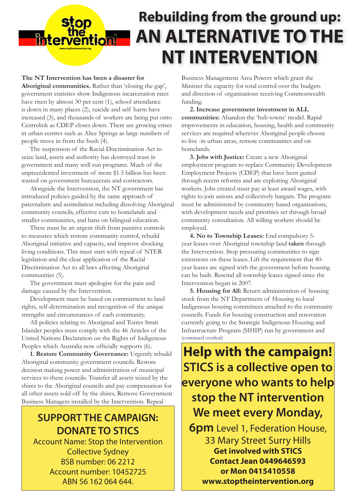## **Rebuilding from the ground up: AN ALTERNATIVE TO THE NT INTERVENTION**

**The NT Intervention has been a disaster for Aboriginal communities.** Rather than 'closing the gap', government statistics show Indigenous incarceration rates have risen by almost 30 per cent (1), school attendance is down in many places (2), suicide and self harm have increased (3), and thousands of workers are being put onto Centrelink as CDEP closes down. There are growing crises in urban centres such as Alice Springs as large numbers of people move in from the bush (4).

**Enterver** 

The suspension of the Racial Discrimination Act to seize land, assets and authority has destroyed trust in government and many well run programs. Much of the unprecedented investment of more \$1.5 billion has been wasted on government bureaucrats and contractors.

Alongside the Intervention, the NT government has introduced policies guided by the same approach of paternalism and assimilation including dissolving Aboriginal community councils, effective cuts to homelands and smaller communities, and bans on bilingual education.

There must be an urgent shift from punitive controls to measures which restore community control, rebuild Aboriginal initiative and capacity, and improve shocking living conditions. This must start with repeal of NTER legislation and the clear application of the Racial Discrimination Act to all laws affecting Aboriginal communities (5).

The government must apologise for the pain and damage caused by the Intervention.

Development must be based on commitment to land rights, self-determination and recognition of the unique strengths and circumstances of each community.

All policies relating to Aboriginal and Torres Strait Islander peoples must comply with the 46 Articles of the United Nations Declaration on the Rights of Indigenous Peoples which Australia now officially supports (6).

**1. Restore Community Governance:** Urgently rebuild Aboriginal community government councils. Restore decision making power and administration of municipal services to these councils. Transfer all assets seized by the shires to the Aboriginal councils and pay compensation for all other assets sold off by the shires. Remove Government Business Managers installed by the Intervention. Repeal

## **SUPPORT THE CAMPAIGN: DONATE TO STICS**

Account Name: Stop the Intervention Collective Sydney BSB number: 06 2212 Account number: 10452725 ABN 56 162 064 644.

Business Management Area Powers which grant the Minister the capacity for total control over the budgets and direction of organisations receiving Commonwealth funding.

**2. Increase government investment in ALL communities:** Abandon the 'hub towns' model. Rapid improvements in education, housing, health and community services are required wherever Aboriginal people choose to live -in urban areas, remote communities and on homelands.

**3. Jobs with Justice:** Create a new Aboriginal employment program to replace Community Development Employment Projects (CDEP) that have been gutted through recent reforms and are exploiting Aboriginal workers. Jobs created must pay at least award wages, with rights to join unions and collectively bargain. The program must be administered by community based organisations, with development needs and priorities set through broad community consultation. All willing workers should be employed.

**4. No to Township Leases:** End compulsory 5 year leases over Aboriginal township land **taken** through the Intervention. Stop pressuring communities to sign extensions on these leases. Lift the requirement that 40 year leases are signed with the government before housing can be built. Rescind all township leases signed since the Intervention began in 2007.

**5. Housing for All:** Return administration of housing stock from the NT Department of Housing to local Indigenous housing committees attached to the community councils. Funds for housing construction and renovation currently going to the Strategic Indigenous Housing and Infrastructure Program (SIHIP) run by government and (continued overleaf)

## **Help with the campaign! STICS is a collective open to everyone who wants to help stop the NT intervention We meet every Monday,**

**6pm** Level 1, Federation House, 33 Mary Street Surry Hills **Get involved with STICS Contact Jean 0449646593 or Mon 0415410558 www.stoptheintervention.org**